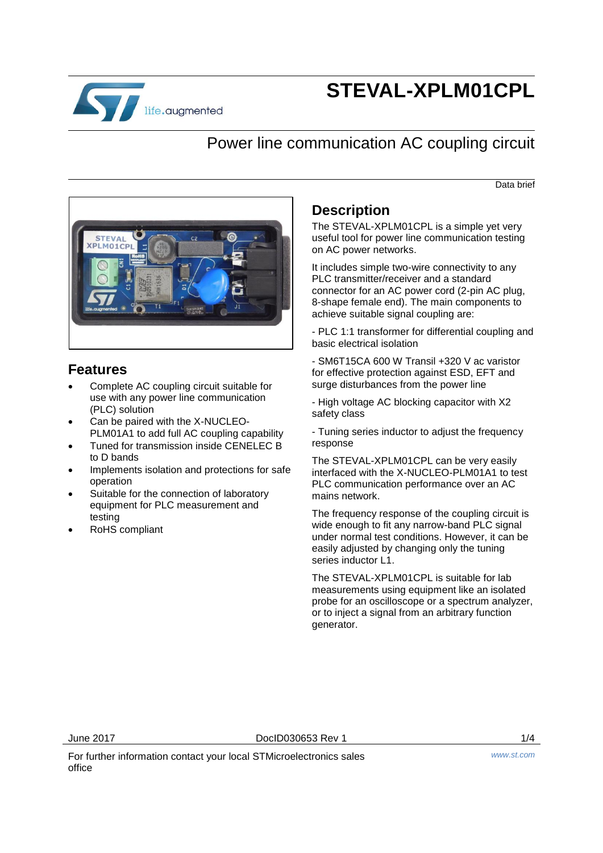

# **STEVAL-XPLM01CPL**

## Power line communication AC coupling circuit

Data brief



### **Features**

- Complete AC coupling circuit suitable for use with any power line communication (PLC) solution
- Can be paired with the X-NUCLEO-PLM01A1 to add full AC coupling capability
- Tuned for transmission inside CENELEC B to D bands
- Implements isolation and protections for safe operation
- Suitable for the connection of laboratory equipment for PLC measurement and testing
- RoHS compliant

#### **Description**

The STEVAL-XPLM01CPL is a simple yet very useful tool for power line communication testing on AC power networks.

It includes simple two-wire connectivity to any PLC transmitter/receiver and a standard connector for an AC power cord (2-pin AC plug, 8-shape female end). The main components to achieve suitable signal coupling are:

- PLC 1:1 transformer for differential coupling and basic electrical isolation

- SM6T15CA 600 W Transil +320 V ac varistor for effective protection against ESD, EFT and surge disturbances from the power line

- High voltage AC blocking capacitor with X2 safety class

- Tuning series inductor to adjust the frequency response

The STEVAL-XPLM01CPL can be very easily interfaced with the X-NUCLEO-PLM01A1 to test PLC communication performance over an AC mains network.

The frequency response of the coupling circuit is wide enough to fit any narrow-band PLC signal under normal test conditions. However, it can be easily adjusted by changing only the tuning series inductor L1.

The STEVAL-XPLM01CPL is suitable for lab measurements using equipment like an isolated probe for an oscilloscope or a spectrum analyzer, or to inject a signal from an arbitrary function generator.

June 2017 DocID030653 Rev 1 1/4

For further information contact your local STMicroelectronics sales office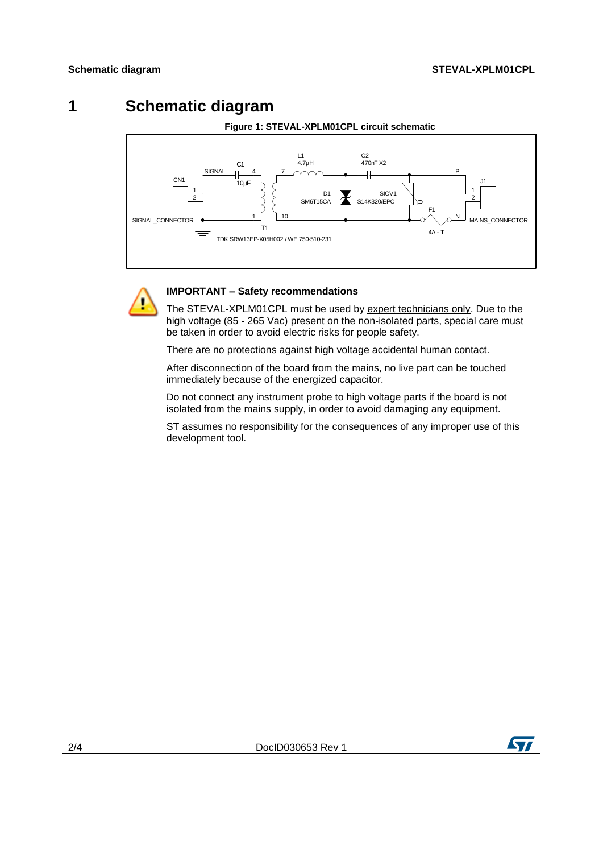### **1 Schematic diagram**





#### **IMPORTANT – Safety recommendations**

The STEVAL-XPLM01CPL must be used by expert technicians only. Due to the high voltage (85 - 265 Vac) present on the non-isolated parts, special care must be taken in order to avoid electric risks for people safety.

There are no protections against high voltage accidental human contact.

After disconnection of the board from the mains, no live part can be touched immediately because of the energized capacitor.

Do not connect any instrument probe to high voltage parts if the board is not isolated from the mains supply, in order to avoid damaging any equipment.

ST assumes no responsibility for the consequences of any improper use of this development tool.

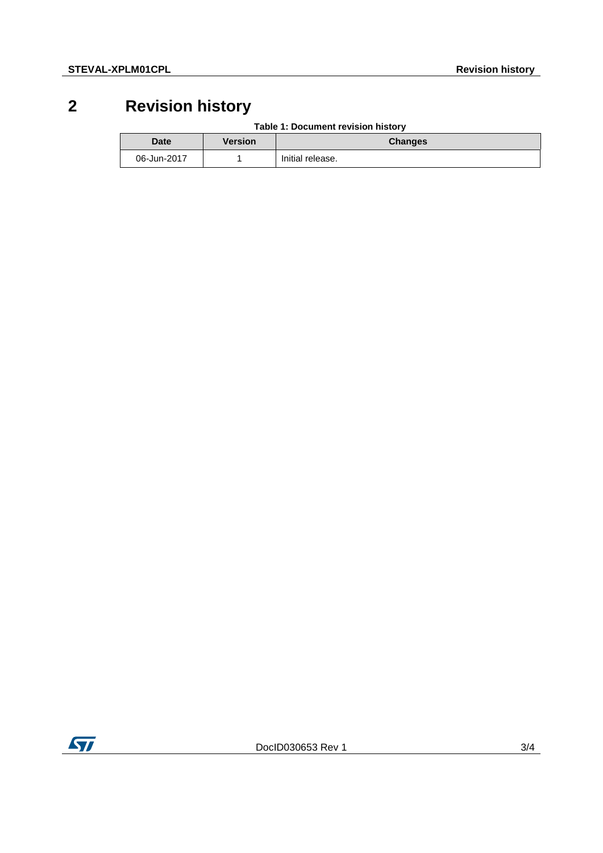# **2 Revision history**

| Table 1: Document revision history |
|------------------------------------|
|------------------------------------|

| <b>Date</b> | <b>Version</b> | <b>Changes</b>   |
|-------------|----------------|------------------|
| 06-Jun-2017 |                | Initial release. |